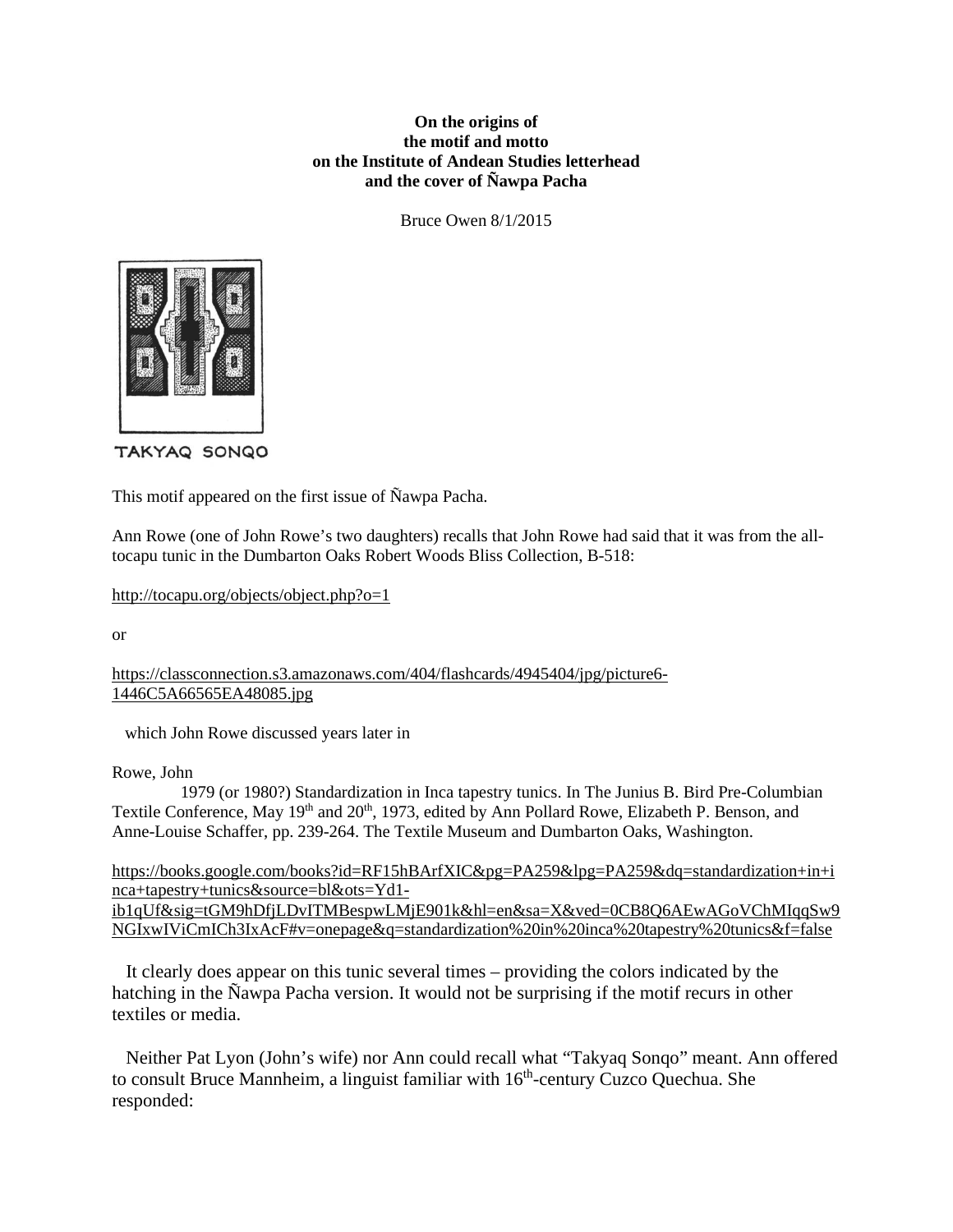## **On the origins of the motif and motto on the Institute of Andean Studies letterhead and the cover of Ñawpa Pacha**

Bruce Owen 8/1/2015



TAKYAQ SONQO

This motif appeared on the first issue of Ñawpa Pacha.

Ann Rowe (one of John Rowe's two daughters) recalls that John Rowe had said that it was from the alltocapu tunic in the Dumbarton Oaks Robert Woods Bliss Collection, B-518:

http://tocapu.org/objects/object.php?o=1

or

https://classconnection.s3.amazonaws.com/404/flashcards/4945404/jpg/picture6- 1446C5A66565EA48085.jpg

which John Rowe discussed years later in

Rowe, John

 1979 (or 1980?) Standardization in Inca tapestry tunics. In The Junius B. Bird Pre-Columbian Textile Conference, May 19<sup>th</sup> and 20<sup>th</sup>, 1973, edited by Ann Pollard Rowe, Elizabeth P. Benson, and Anne-Louise Schaffer, pp. 239-264. The Textile Museum and Dumbarton Oaks, Washington.

https://books.google.com/books?id=RF15hBArfXIC&pg=PA259&lpg=PA259&dq=standardization+in+i nca+tapestry+tunics&source=bl&ots=Yd1 ib1qUf&sig=tGM9hDfjLDvITMBespwLMjE901k&hl=en&sa=X&ved=0CB8Q6AEwAGoVChMIqqSw9 NGIxwIViCmICh3IxAcF#v=onepage&q=standardization%20in%20inca%20tapestry%20tunics&f=false

 It clearly does appear on this tunic several times – providing the colors indicated by the hatching in the Ñawpa Pacha version. It would not be surprising if the motif recurs in other textiles or media.

 Neither Pat Lyon (John's wife) nor Ann could recall what "Takyaq Sonqo" meant. Ann offered to consult Bruce Mannheim, a linguist familiar with 16<sup>th</sup>-century Cuzco Quechua. She responded: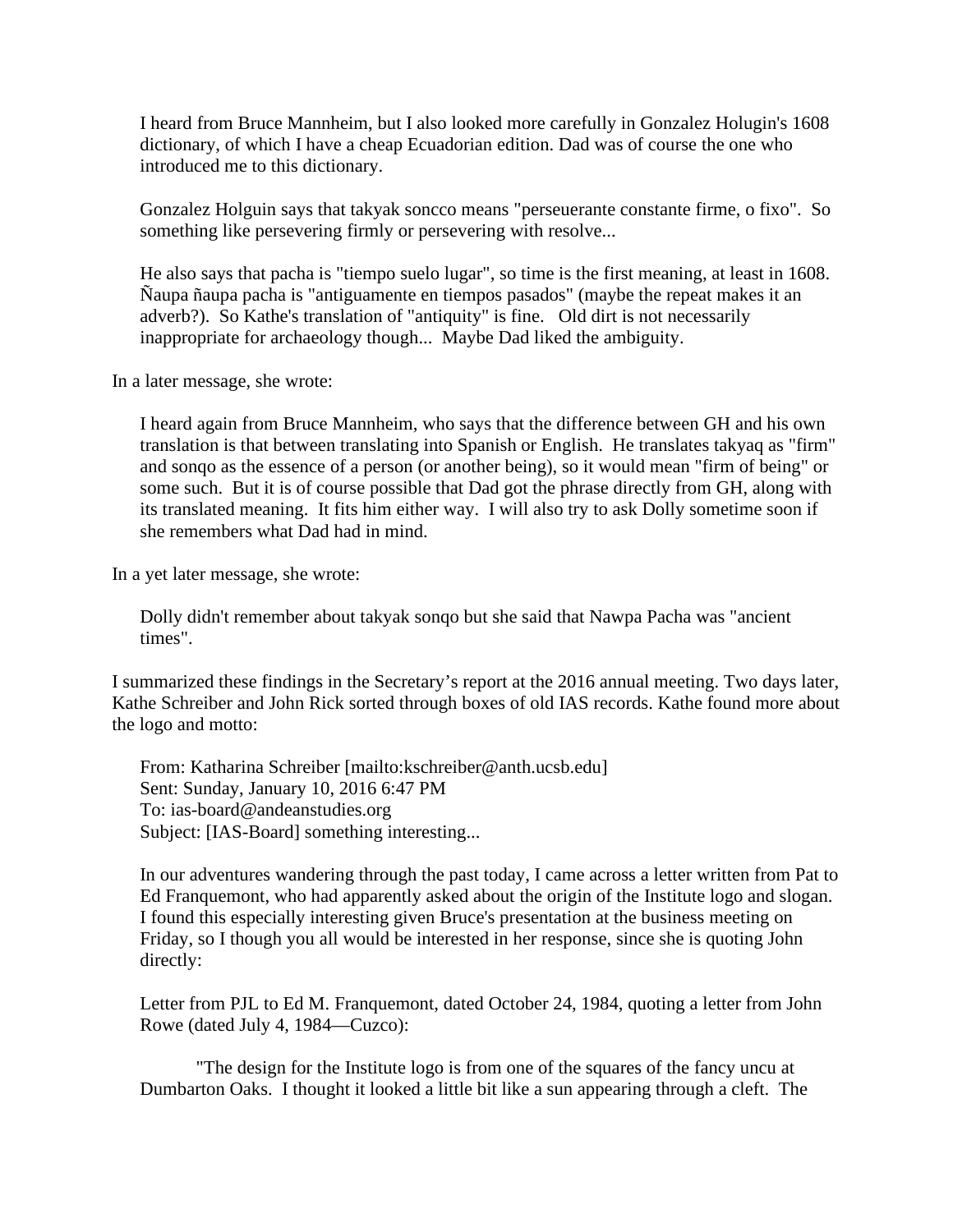I heard from Bruce Mannheim, but I also looked more carefully in Gonzalez Holugin's 1608 dictionary, of which I have a cheap Ecuadorian edition. Dad was of course the one who introduced me to this dictionary.

Gonzalez Holguin says that takyak soncco means "perseuerante constante firme, o fixo". So something like persevering firmly or persevering with resolve...

He also says that pacha is "tiempo suelo lugar", so time is the first meaning, at least in 1608. Ñaupa ñaupa pacha is "antiguamente en tiempos pasados" (maybe the repeat makes it an adverb?). So Kathe's translation of "antiquity" is fine. Old dirt is not necessarily inappropriate for archaeology though... Maybe Dad liked the ambiguity.

In a later message, she wrote:

I heard again from Bruce Mannheim, who says that the difference between GH and his own translation is that between translating into Spanish or English. He translates takyaq as "firm" and sonqo as the essence of a person (or another being), so it would mean "firm of being" or some such. But it is of course possible that Dad got the phrase directly from GH, along with its translated meaning. It fits him either way. I will also try to ask Dolly sometime soon if she remembers what Dad had in mind.

In a yet later message, she wrote:

Dolly didn't remember about takyak sonqo but she said that Nawpa Pacha was "ancient times".

I summarized these findings in the Secretary's report at the 2016 annual meeting. Two days later, Kathe Schreiber and John Rick sorted through boxes of old IAS records. Kathe found more about the logo and motto:

From: Katharina Schreiber [mailto:kschreiber@anth.ucsb.edu] Sent: Sunday, January 10, 2016 6:47 PM To: ias-board@andeanstudies.org Subject: [IAS-Board] something interesting...

In our adventures wandering through the past today, I came across a letter written from Pat to Ed Franquemont, who had apparently asked about the origin of the Institute logo and slogan. I found this especially interesting given Bruce's presentation at the business meeting on Friday, so I though you all would be interested in her response, since she is quoting John directly:

Letter from PJL to Ed M. Franquemont, dated October 24, 1984, quoting a letter from John Rowe (dated July 4, 1984—Cuzco):

 "The design for the Institute logo is from one of the squares of the fancy uncu at Dumbarton Oaks. I thought it looked a little bit like a sun appearing through a cleft. The